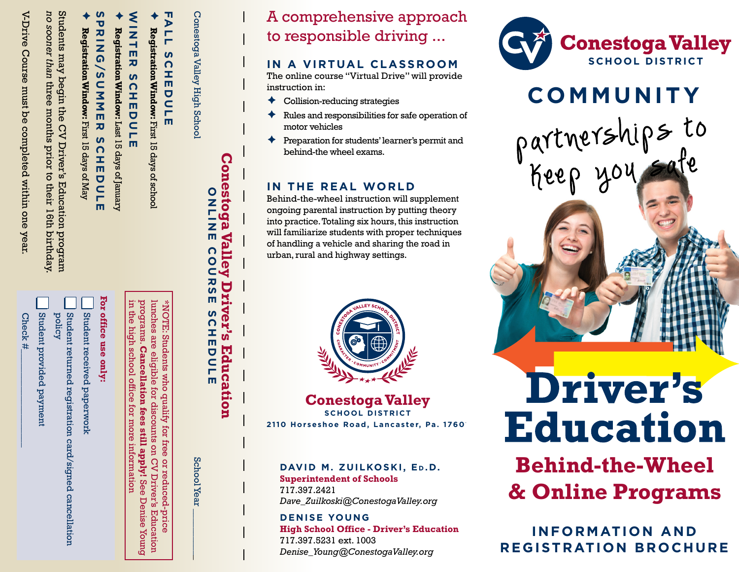V-Drive Course must be completed within one year V-Drive Course must be completed within one year.

*no sooner than*  Students may begin the CV Driver's Education program no sooner than three three months prior to their 16th birthday. months a prior  $\overline{5}$ their 16th birthday

Students may begin the CV Driver's Education program

Check #\_\_\_\_\_\_\_\_\_\_\_\_\_\_\_\_\_\_\_\_\_ Check #

Student provided payment Student provided payment

Student returned registration card/signed cancellation<br>policy Student returned registration card/signed cancellation

Student received paperwork Student received paperwork

**For office use only:**

 $\blacklozenge$ 

 $\blacklozenge$ 

 $\blacklozenge$ 

Ō

**Registration Window:**

Registration Window: First 15 days of May

First 15 days of May

Last 15 days of January

Registration Window: Last 15 days of January

**SPRING/SUMMER SCHEDULE**

 $\overline{\mathbf{x}}$ 

**SCHE** 

**SDULE** 

**RING/SUMME** 

WINTER SCHEDULE **Registration Window:**

SCHEDUL

m

NINTER

First 15 days of school

Registration Window: First 15 days of schoo

programs.

\*NOTE: Students

who qualify

TOI.

Free

or reduced-price

programs. Cancellation fees in the high school office

lunches are eligible for discounts on CV Driver's Education \*NOTE: Students who qualify for free or reduced-price

lunches are eligible for discounts on CV Driver's Education

**Cancellation fees still apply!** 

still apply! See

in the high school office for more information

for more

nothemizonn

See Denise Young

**Sumox** 

Denise

**Conestoga Valley Driver's Education** ONLINE COURSE SCHEDULE Conestoga Valley High School School Year \_\_\_\_\_\_\_\_\_\_\_

Valley COU

Conestoga

ONLIN

 $\overline{m}$ 

**RS** Erd m

SCH ver's

EDULE

School Year

Education

**Conestoga Valley SCHOOL DISTRICT** 2110 Horseshoe Road, Lancaster, Pa. 1760<sup>1</sup>

A comprehensive approach

to responsible driving ...

 $\triangleleft$  Collision-reducing strategies

behind-the wheel exams.

**IN THE REAL WORLD**

urban, rural and highway settings.

instruction in:

motor vehicles

**IN A VIRTUAL CLASSROOM** The online course "Virtual Drive" will provide

 $\triangle$  Rules and responsibilities for safe operation of

Ê Preparation for students' learner's permit and

Behind-the-wheel instruction will supplement ongoing parental instruction by putting theory into practice. Totaling six hours, this instruction will familiarize students with proper techniques of handling a vehicle and sharing the road in

**DAVID M. ZUILKOSKI, ED.D.** 

*Dave\_Zuilkoski@ConestogaValley.org*

*Denise\_Young@ConestogaValley.org*

**High School Office - Driver's Education**

**INFORMATION AND REGISTRATION BROCHURE**

**Behind-the-Wheel**

**Education** 

**Driver's** 

**& Online Programs**

**SCHOOL DISTRICT** 

**Conestoga Valley** 

**COMMUNITY**

partnerships to

keep you safe

**Superintendent of Schools**

717.397.2421

**DENISE YOUNG**

717.397.5231 ext. 1003

**FALL SCHEDULE Registration Window:**

SCHEDULE

Conestoga Valley High School

'n

 $77$ 

For office use only: